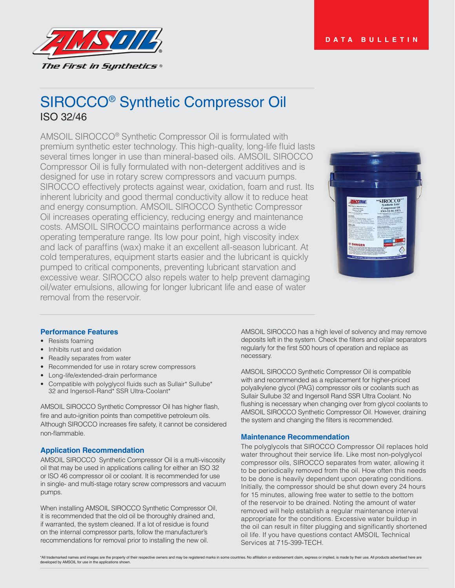



# SIROCCO® Synthetic Compressor Oil ISO 32/46

AMSOIL SIROCCO<sup>®</sup> Synthetic Compressor Oil is formulated with premium synthetic ester technology. This high-quality, long-life fluid lasts several times longer in use than mineral-based oils. AMSOIL SIROCCO Compressor Oil is fully formulated with non-detergent additives and is designed for use in rotary screw compressors and vacuum pumps. SIROCCO effectively protects against wear, oxidation, foam and rust. Its inherent lubricity and good thermal conductivity allow it to reduce heat and energy consumption. AMSOIL SIROCCO Synthetic Compressor Oil increases operating efficiency, reducing energy and maintenance costs. AMSOIL SIROCCO maintains performance across a wide operating temperature range. Its low pour point, high viscosity index and lack of paraffins (wax) make it an excellent all-season lubricant. At cold temperatures, equipment starts easier and the lubricant is quickly pumped to critical components, preventing lubricant starvation and excessive wear. SIROCCO also repels water to help prevent damaging oil/water emulsions, allowing for longer lubricant life and ease of water removal from the reservoir.



#### **Performance Features**

- Resists foaming
- Inhibits rust and oxidation
- Readily separates from water
- Recommended for use in rotary screw compressors
- Long-life/extended-drain performance
- Compatible with polyglycol fluids such as Sullair\* Sullube\* 32 and Ingersoll-Rand\* SSR Ultra-Coolant\*

AMSOIL SIROCCO Synthetic Compressor Oil has higher flash, fire and auto-ignition points than competitive petroleum oils. Although SIROCCO increases fire safety, it cannot be considered non-flammable.

# **Application Recommendation**

AMSOIL SIROCCO Synthetic Compressor Oil is a multi-viscosity oil that may be used in applications calling for either an ISO 32 or ISO 46 compressor oil or coolant. It is recommended for use in single- and multi-stage rotary screw compressors and vacuum pumps.

When installing AMSOIL SIROCCO Synthetic Compressor Oil, it is recommended that the old oil be thoroughly drained and, if warranted, the system cleaned. If a lot of residue is found on the internal compressor parts, follow the manufacturer's recommendations for removal prior to installing the new oil.

AMSOIL SIROCCO has a high level of solvency and may remove deposits left in the system. Check the filters and oil/air separators regularly for the first 500 hours of operation and replace as necessary.

AMSOIL SIROCCO Synthetic Compressor Oil is compatible with and recommended as a replacement for higher-priced polyalkylene glycol (PAG) compressor oils or coolants such as Sullair Sullube 32 and Ingersoll Rand SSR Ultra Coolant. No flushing is necessary when changing over from glycol coolants to AMSOIL SIROCCO Synthetic Compressor Oil. However, draining the system and changing the filters is recommended.

# **Maintenance Recommendation**

The polyglycols that SIROCCO Compressor Oil replaces hold water throughout their service life. Like most non-polyglycol compressor oils, SIROCCO separates from water, allowing it to be periodically removed from the oil. How often this needs to be done is heavily dependent upon operating conditions. Initially, the compressor should be shut down every 24 hours for 15 minutes, allowing free water to settle to the bottom of the reservoir to be drained. Noting the amount of water removed will help establish a regular maintenance interval appropriate for the conditions. Excessive water buildup in the oil can result in filter plugging and significantly shortened oil life. If you have questions contact AMSOIL Technical Services at 715-399-TECH.

\*All trademarked names and images are the property of their respective owners and may be registered marks in some countries. No affiliation or endorsement claim, express or implied, is made by their use. All products adver